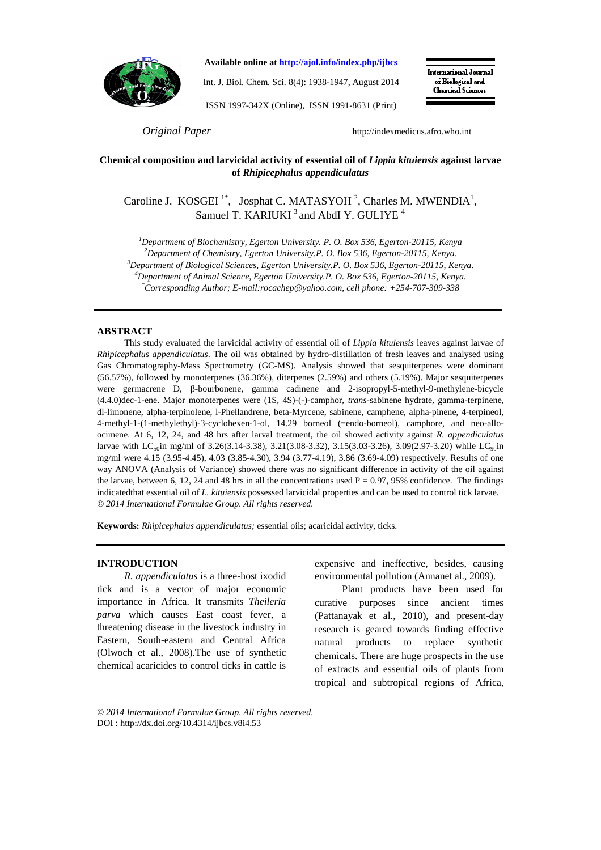

**Available online at http://ajol.info/index.php/ijbcs**

Int. J. Biol. Chem. Sci. 8(4): 1938-1947, August 2014

ISSN 1997-342X (Online), ISSN 1991-8631 (Print)

**International Journal** of Biological and **Chemical Sciences** 

*Original Paper* http://indexmedicus.afro.who.int

# **Chemical composition and larvicidal activity of essential oil of** *Lippia kituiensis* **against larvae of** *Rhipicephalus appendiculatus*

Caroline J. KOSGEI<sup>1\*</sup>, Josphat C. MATASYOH<sup>2</sup>, Charles M. MWENDIA<sup>1</sup>, Samuel T. KARIUKI<sup>3</sup> and AbdI Y. GULIYE<sup>4</sup>

*<sup>1</sup>Department of Biochemistry, Egerton University. P. O. Box 536, Egerton-20115, Kenya* 

*<sup>2</sup>Department of Chemistry, Egerton University.P. O. Box 536, Egerton-20115, Kenya.* 

*<sup>3</sup>Department of Biological Sciences, Egerton University.P. O. Box 536, Egerton-20115, Kenya.* 

*<sup>4</sup>Department of Animal Science, Egerton University.P. O. Box 536, Egerton-20115, Kenya. \*Corresponding Author; E-mail:rocachep@yahoo.com, cell phone: +254-707-309-338* 

#### **ABSTRACT**

This study evaluated the larvicidal activity of essential oil of *Lippia kituiensis* leaves against larvae of *Rhipicephalus appendiculatus*. The oil was obtained by hydro-distillation of fresh leaves and analysed using Gas Chromatography-Mass Spectrometry (GC-MS). Analysis showed that sesquiterpenes were dominant (56.57%), followed by monoterpenes (36.36%), diterpenes (2.59%) and others (5.19%). Major sesquiterpenes were germacrene D, β-bourbonene, gamma cadinene and 2-isopropyl-5-methyl-9-methylene-bicycle (4.4.0)dec-1-ene. Major monoterpenes were (1S, 4S)-(-)-camphor, *trans*-sabinene hydrate, gamma-terpinene, dl-limonene, alpha-terpinolene, l-Phellandrene, beta-Myrcene, sabinene, camphene, alpha-pinene, 4-terpineol, 4-methyl-1-(1-methylethyl)-3-cyclohexen-1-ol, 14.29 borneol (=endo-borneol), camphore, and neo-alloocimene. At 6, 12, 24, and 48 hrs after larval treatment, the oil showed activity against *R. appendiculatus* larvae with LC<sub>50</sub>in mg/ml of 3.26(3.14-3.38), 3.21(3.08-3.32), 3.15(3.03-3.26), 3.09(2.97-3.20) while LC<sub>90</sub>in mg/ml were 4.15 (3.95-4.45), 4.03 (3.85-4.30), 3.94 (3.77-4.19), 3.86 (3.69-4.09) respectively. Results of one way ANOVA (Analysis of Variance) showed there was no significant difference in activity of the oil against the larvae, between 6, 12, 24 and 48 hrs in all the concentrations used  $P = 0.97$ , 95% confidence. The findings indicatedthat essential oil of *L. kituiensis* possessed larvicidal properties and can be used to control tick larvae. *© 2014 International Formulae Group. All rights reserved.*

**Keywords:** *Rhipicephalus appendiculatus;* essential oils; acaricidal activity, ticks.

#### **INTRODUCTION**

*R. appendiculatus* is a three-host ixodid tick and is a vector of major economic importance in Africa. It transmits *Theileria parva* which causes East coast fever, a threatening disease in the livestock industry in Eastern, South-eastern and Central Africa (Olwoch et al., 2008).The use of synthetic chemical acaricides to control ticks in cattle is

expensive and ineffective, besides, causing environmental pollution (Annanet al., 2009).

Plant products have been used for curative purposes since ancient times (Pattanayak et al., 2010), and present-day research is geared towards finding effective natural products to replace synthetic chemicals. There are huge prospects in the use of extracts and essential oils of plants from tropical and subtropical regions of Africa,

*© 2014 International Formulae Group. All rights reserved.* DOI : http://dx.doi.org/10.4314/ijbcs.v8i4.53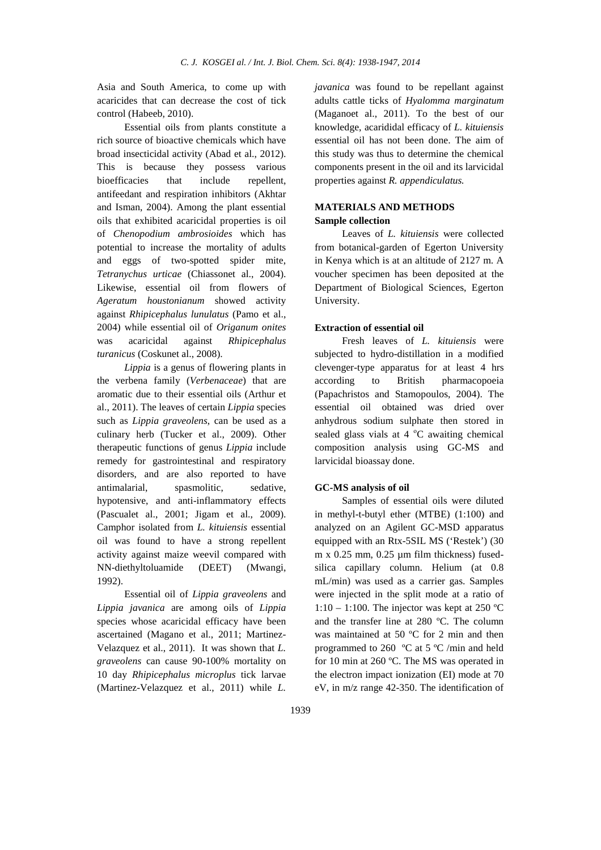Asia and South America, to come up with acaricides that can decrease the cost of tick control (Habeeb, 2010).

Essential oils from plants constitute a rich source of bioactive chemicals which have broad insecticidal activity (Abad et al., 2012). This is because they possess various bioefficacies that include repellent, antifeedant and respiration inhibitors (Akhtar and Isman, 2004). Among the plant essential oils that exhibited acaricidal properties is oil of *Chenopodium ambrosioides* which has potential to increase the mortality of adults and eggs of two-spotted spider mite, *Tetranychus urticae* (Chiassonet al., 2004). Likewise, essential oil from flowers of *Ageratum houstonianum* showed activity against *Rhipicephalus lunulatus* (Pamo et al., 2004) while essential oil of *Origanum onites* was acaricidal against *Rhipicephalus turanicus* (Coskunet al., 2008).

*Lippia* is a genus of flowering plants in the verbena family (*Verbenaceae*) that are aromatic due to their essential oils (Arthur et al., 2011). The leaves of certain *Lippia* species such as *Lippia graveolens*, can be used as a culinary herb (Tucker et al., 2009). Other therapeutic functions of genus *Lippia* include remedy for gastrointestinal and respiratory disorders, and are also reported to have antimalarial, spasmolitic, sedative, hypotensive, and anti-inflammatory effects (Pascualet al., 2001; Jigam et al., 2009). Camphor isolated from *L. kituiensis* essential oil was found to have a strong repellent activity against maize weevil compared with NN-diethyltoluamide (DEET) (Mwangi, 1992).

Essential oil of *Lippia graveolens* and *Lippia javanica* are among oils of *Lippia* species whose acaricidal efficacy have been ascertained (Magano et al., 2011; Martinez-Velazquez et al., 2011). It was shown that *L. graveolens* can cause 90-100% mortality on 10 day *Rhipicephalus microplus* tick larvae (Martinez-Velazquez et al., 2011) while *L.* 

*javanica* was found to be repellant against adults cattle ticks of *Hyalomma marginatum*  (Maganoet al., 2011). To the best of our knowledge, acarididal efficacy of *L. kituiensis* essential oil has not been done. The aim of this study was thus to determine the chemical components present in the oil and its larvicidal properties against *R. appendiculatus.*

# **MATERIALS AND METHODS Sample collection**

Leaves of *L. kituiensis* were collected from botanical-garden of Egerton University in Kenya which is at an altitude of 2127 m. A voucher specimen has been deposited at the Department of Biological Sciences, Egerton University.

# **Extraction of essential oil**

Fresh leaves of *L. kituiensis* were subjected to hydro-distillation in a modified clevenger-type apparatus for at least 4 hrs according to British pharmacopoeia (Papachristos and Stamopoulos, 2004). The essential oil obtained was dried over anhydrous sodium sulphate then stored in sealed glass vials at  $4^{\circ}$ C awaiting chemical composition analysis using GC-MS and larvicidal bioassay done.

# **GC-MS analysis of oil**

Samples of essential oils were diluted in methyl-t-butyl ether (MTBE) (1:100) and analyzed on an Agilent GC-MSD apparatus equipped with an Rtx-5SIL MS ('Restek') (30 m x 0.25 mm, 0.25 µm film thickness) fusedsilica capillary column. Helium (at 0.8 mL/min) was used as a carrier gas. Samples were injected in the split mode at a ratio of 1:10 – 1:100. The injector was kept at 250 °C and the transfer line at 280 ºC. The column was maintained at 50 ºC for 2 min and then programmed to 260 ºC at 5 ºC /min and held for 10 min at 260 ºC. The MS was operated in the electron impact ionization (EI) mode at 70 eV, in m/z range 42-350. The identification of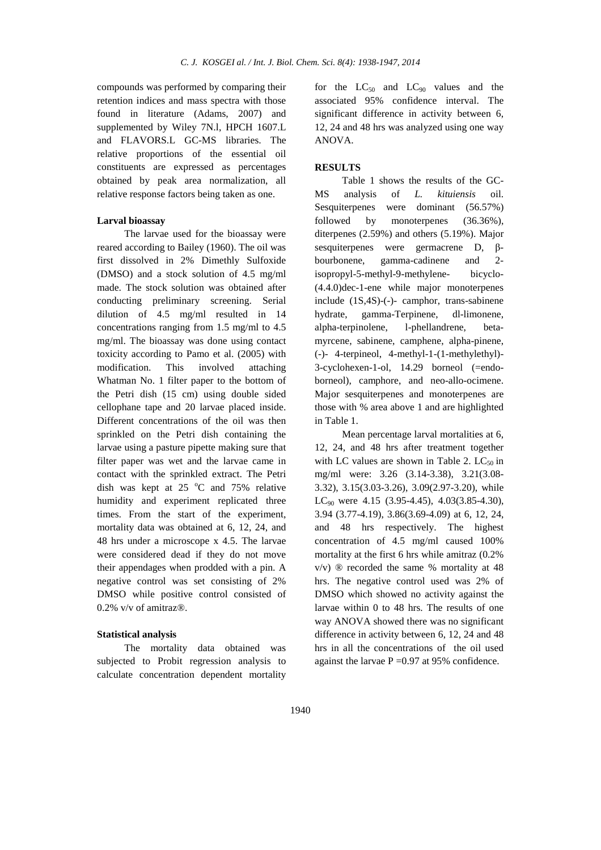compounds was performed by comparing their retention indices and mass spectra with those found in literature (Adams, 2007) and supplemented by Wiley 7N.l, HPCH 1607.L and FLAVORS.L GC-MS libraries. The relative proportions of the essential oil constituents are expressed as percentages obtained by peak area normalization, all relative response factors being taken as one.

#### **Larval bioassay**

The larvae used for the bioassay were reared according to Bailey (1960). The oil was first dissolved in 2% Dimethly Sulfoxide (DMSO) and a stock solution of 4.5 mg/ml made. The stock solution was obtained after conducting preliminary screening. Serial dilution of 4.5 mg/ml resulted in 14 concentrations ranging from 1.5 mg/ml to 4.5 mg/ml. The bioassay was done using contact toxicity according to Pamo et al. (2005) with modification. This involved attaching Whatman No. 1 filter paper to the bottom of the Petri dish (15 cm) using double sided cellophane tape and 20 larvae placed inside. Different concentrations of the oil was then sprinkled on the Petri dish containing the larvae using a pasture pipette making sure that filter paper was wet and the larvae came in contact with the sprinkled extract. The Petri dish was kept at  $25^{\circ}$ C and  $75\%$  relative humidity and experiment replicated three times. From the start of the experiment, mortality data was obtained at 6, 12, 24, and 48 hrs under a microscope x 4.5. The larvae were considered dead if they do not move their appendages when prodded with a pin. A negative control was set consisting of 2% DMSO while positive control consisted of 0.2% v/v of amitraz®.

#### **Statistical analysis**

The mortality data obtained was subjected to Probit regression analysis to calculate concentration dependent mortality for the  $LC_{50}$  and  $LC_{90}$  values and the associated 95% confidence interval. The significant difference in activity between 6, 12, 24 and 48 hrs was analyzed using one way ANOVA.

## **RESULTS**

Table 1 shows the results of the GC-MS analysis of *L. kituiensis* oil. Sesquiterpenes were dominant (56.57%) followed by monoterpenes (36.36%), diterpenes (2.59%) and others (5.19%). Major sesquiterpenes were germacrene D, βbourbonene, gamma-cadinene and 2 isopropyl-5-methyl-9-methylene- bicyclo- (4.4.0)dec-1-ene while major monoterpenes include (1S,4S)-(-)- camphor, trans-sabinene hydrate, gamma-Terpinene, dl-limonene, alpha-terpinolene, l-phellandrene, betamyrcene, sabinene, camphene, alpha-pinene, (-)- 4-terpineol, 4-methyl-1-(1-methylethyl)- 3-cyclohexen-1-ol, 14.29 borneol (=endoborneol), camphore, and neo-allo-ocimene. Major sesquiterpenes and monoterpenes are those with % area above 1 and are highlighted in Table 1.

Mean percentage larval mortalities at 6, 12, 24, and 48 hrs after treatment together with LC values are shown in Table 2.  $LC_{50}$  in mg/ml were: 3.26 (3.14-3.38), 3.21(3.08- 3.32), 3.15(3.03-3.26), 3.09(2.97-3.20), while LC<sub>90</sub> were 4.15 (3.95-4.45), 4.03(3.85-4.30), 3.94 (3.77-4.19), 3.86(3.69-4.09) at 6, 12, 24, and 48 hrs respectively. The highest concentration of 4.5 mg/ml caused 100% mortality at the first 6 hrs while amitraz (0.2% v/v) ® recorded the same % mortality at 48 hrs. The negative control used was 2% of DMSO which showed no activity against the larvae within 0 to 48 hrs. The results of one way ANOVA showed there was no significant difference in activity between 6, 12, 24 and 48 hrs in all the concentrations of the oil used against the larvae  $P = 0.97$  at 95% confidence.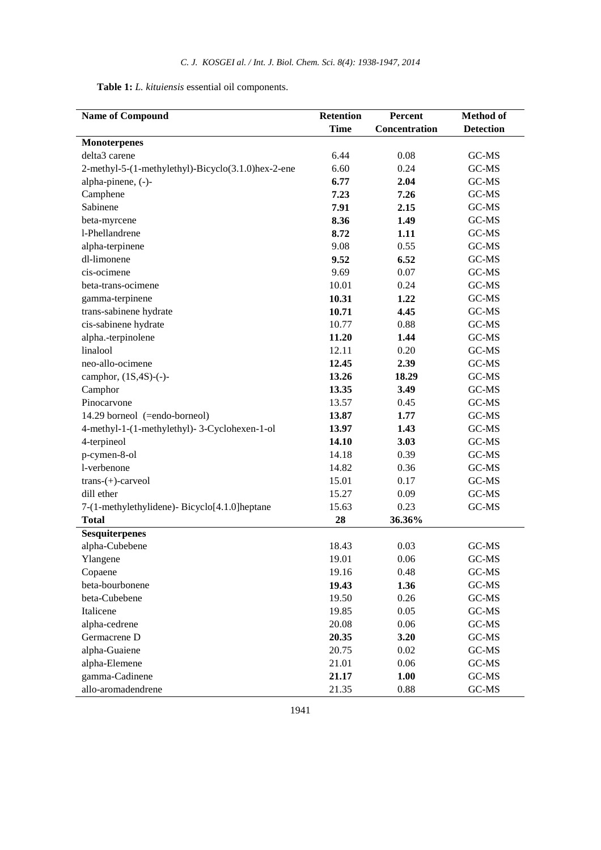| Table 1: L. kituiensis essential oil components. |  |
|--------------------------------------------------|--|
|--------------------------------------------------|--|

| <b>Name of Compound</b>                            | Retention   | Percent       | <b>Method of</b> |  |
|----------------------------------------------------|-------------|---------------|------------------|--|
|                                                    | <b>Time</b> | Concentration | <b>Detection</b> |  |
| <b>Monoterpenes</b>                                |             |               |                  |  |
| delta3 carene                                      | 6.44        | 0.08          | GC-MS            |  |
| 2-methyl-5-(1-methylethyl)-Bicyclo(3.1.0)hex-2-ene | 6.60        | 0.24          | GC-MS            |  |
| alpha-pinene, (-)-                                 | 6.77        | 2.04          | GC-MS            |  |
| Camphene                                           | 7.23        | 7.26          | GC-MS            |  |
| Sabinene                                           | 7.91        | 2.15          | GC-MS            |  |
| beta-myrcene                                       | 8.36        | 1.49          | GC-MS            |  |
| 1-Phellandrene                                     | 8.72        | 1.11          | $GC-MS$          |  |
| alpha-terpinene                                    | 9.08        | 0.55          | GC-MS            |  |
| dl-limonene                                        | 9.52        | 6.52          | GC-MS            |  |
| cis-ocimene                                        | 9.69        | 0.07          | GC-MS            |  |
| beta-trans-ocimene                                 | 10.01       | 0.24          | GC-MS            |  |
| gamma-terpinene                                    | 10.31       | 1.22          | GC-MS            |  |
| trans-sabinene hydrate                             | 10.71       | 4.45          | GC-MS            |  |
| cis-sabinene hydrate                               | 10.77       | 0.88          | GC-MS            |  |
| alpha.-terpinolene                                 | 11.20       | 1.44          | GC-MS            |  |
| linalool                                           | 12.11       | 0.20          | GC-MS            |  |
| neo-allo-ocimene                                   | 12.45       | 2.39          | GC-MS            |  |
| camphor, $(1S, 4S)$ -(-)-                          | 13.26       | 18.29         | GC-MS            |  |
| Camphor                                            | 13.35       | 3.49          | GC-MS            |  |
| Pinocarvone                                        | 13.57       | 0.45          | GC-MS            |  |
| 14.29 borneol (=endo-borneol)                      | 13.87       | 1.77          | GC-MS            |  |
| 4-methyl-1-(1-methylethyl)-3-Cyclohexen-1-ol       | 13.97       | 1.43          | GC-MS            |  |
| 4-terpineol                                        | 14.10       | 3.03          | GC-MS            |  |
| p-cymen-8-ol                                       | 14.18       | 0.39          | GC-MS            |  |
| l-verbenone                                        | 14.82       | 0.36          | GC-MS            |  |
| $trans-(+)$ -carveol                               | 15.01       | 0.17          | GC-MS            |  |
| dill ether                                         | 15.27       | 0.09          | GC-MS            |  |
| 7-(1-methylethylidene)- Bicyclo[4.1.0]heptane      | 15.63       | 0.23          | GC-MS            |  |
| <b>Total</b>                                       | 28          | 36.36%        |                  |  |
| <b>Sesquiterpenes</b>                              |             |               |                  |  |
| alpha-Cubebene                                     | 18.43       | 0.03          | GC-MS            |  |
| Ylangene                                           | 19.01       | 0.06          | GC-MS            |  |
| Copaene                                            | 19.16       | 0.48          | GC-MS            |  |
| beta-bourbonene                                    | 19.43       | 1.36          | GC-MS            |  |
| beta-Cubebene                                      | 19.50       | 0.26          | GC-MS            |  |
| Italicene                                          | 19.85       | 0.05          | GC-MS            |  |
| alpha-cedrene                                      | 20.08       | 0.06          | GC-MS            |  |
| Germacrene D                                       | 20.35       | 3.20          | GC-MS            |  |
| alpha-Guaiene                                      | 20.75       | 0.02          | GC-MS            |  |
| alpha-Elemene                                      | 21.01       | 0.06          | GC-MS            |  |
| gamma-Cadinene                                     | 21.17       | 1.00          | GC-MS            |  |
| allo-aromadendrene                                 | 21.35       | 0.88          | GC-MS            |  |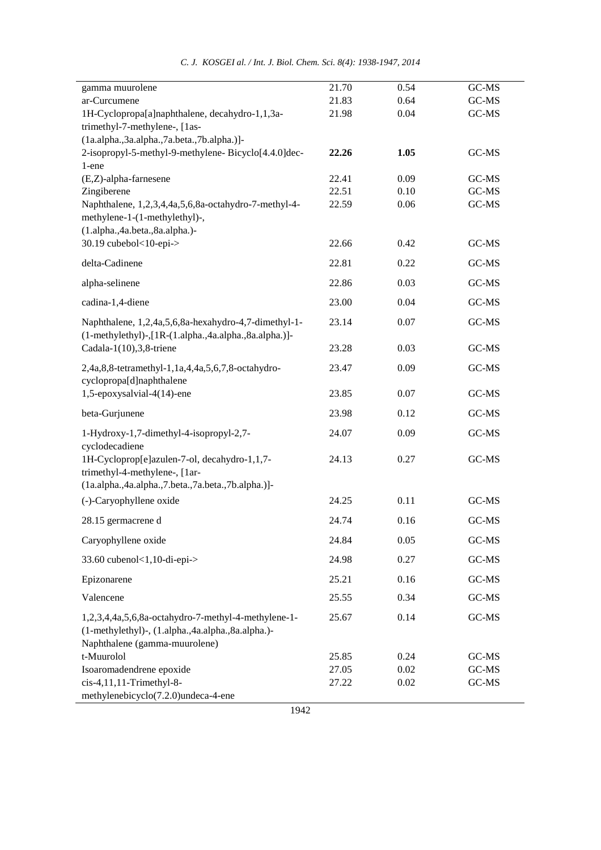|  |  | C. J. KOSGEI al. / Int. J. Biol. Chem. Sci. 8(4): 1938-1947, 2014 |  |  |  |  |
|--|--|-------------------------------------------------------------------|--|--|--|--|
|--|--|-------------------------------------------------------------------|--|--|--|--|

| gamma muurolene                                                               | 21.70 | 0.54 | GC-MS |
|-------------------------------------------------------------------------------|-------|------|-------|
| ar-Curcumene                                                                  | 21.83 | 0.64 | GC-MS |
| 1H-Cyclopropa[a]naphthalene, decahydro-1,1,3a-                                | 21.98 | 0.04 | GC-MS |
| trimethyl-7-methylene-, [1as-                                                 |       |      |       |
| $(la. alpha., 3a. alpha., 7a. beta., 7b. alpha.)$ ]-                          |       |      |       |
| 2-isopropyl-5-methyl-9-methylene-Bicyclo[4.4.0]dec-                           | 22.26 | 1.05 | GC-MS |
| 1-ene<br>(E,Z)-alpha-farnesene                                                | 22.41 | 0.09 | GC-MS |
| Zingiberene                                                                   | 22.51 | 0.10 | GC-MS |
| Naphthalene, 1,2,3,4,4a,5,6,8a-octahydro-7-methyl-4-                          | 22.59 | 0.06 | GC-MS |
| methylene-1-(1-methylethyl)-,                                                 |       |      |       |
| (1.alpha., 4a.beta., 8a.alpha.)-                                              |       |      |       |
| 30.19 cubebol<10-epi->                                                        | 22.66 | 0.42 | GC-MS |
| delta-Cadinene                                                                | 22.81 | 0.22 | GC-MS |
| alpha-selinene                                                                | 22.86 | 0.03 | GC-MS |
| cadina-1,4-diene                                                              | 23.00 | 0.04 | GC-MS |
| Naphthalene, 1,2,4a,5,6,8a-hexahydro-4,7-dimethyl-1-                          | 23.14 | 0.07 | GC-MS |
| (1-methylethyl)-,[1R-(1.alpha.,4a.alpha.,8a.alpha.)]-                         |       |      |       |
| Cadala-1 $(10),$ 3,8-triene                                                   | 23.28 | 0.03 | GC-MS |
| 2,4a,8,8-tetramethyl-1,1a,4,4a,5,6,7,8-octahydro-<br>cyclopropa[d]naphthalene | 23.47 | 0.09 | GC-MS |
| 1,5-epoxysalvial-4(14)-ene                                                    | 23.85 | 0.07 | GC-MS |
| beta-Gurjunene                                                                | 23.98 | 0.12 | GC-MS |
| 1-Hydroxy-1,7-dimethyl-4-isopropyl-2,7-                                       | 24.07 | 0.09 | GC-MS |
| cyclodecadiene                                                                |       |      |       |
| 1H-Cycloprop[e]azulen-7-ol, decahydro-1,1,7-                                  | 24.13 | 0.27 | GC-MS |
| trimethyl-4-methylene-, [1ar-                                                 |       |      |       |
| (1a.alpha.,4a.alpha.,7.beta.,7a.beta.,7b.alpha.)]-                            |       |      |       |
| (-)-Caryophyllene oxide                                                       | 24.25 | 0.11 | GC-MS |
| 28.15 germacrene d                                                            | 24.74 | 0.16 | GC-MS |
| Caryophyllene oxide                                                           | 24.84 | 0.05 | GC-MS |
| 33.60 cubenol<1,10-di-epi->                                                   | 24.98 | 0.27 | GC-MS |
| Epizonarene                                                                   | 25.21 | 0.16 | GC-MS |
| Valencene                                                                     | 25.55 | 0.34 | GC-MS |
| 1,2,3,4,4a,5,6,8a-octahydro-7-methyl-4-methylene-1-                           | 25.67 | 0.14 | GC-MS |
| (1-methylethyl)-, (1.alpha., 4a.alpha., 8a.alpha.)-                           |       |      |       |
| Naphthalene (gamma-muurolene)                                                 |       |      |       |
| t-Muurolol                                                                    | 25.85 | 0.24 | GC-MS |
| Isoaromadendrene epoxide                                                      | 27.05 | 0.02 | GC-MS |
| cis-4,11,11-Trimethyl-8-<br>methylenebicyclo(7.2.0)undeca-4-ene               | 27.22 | 0.02 | GC-MS |
|                                                                               |       |      |       |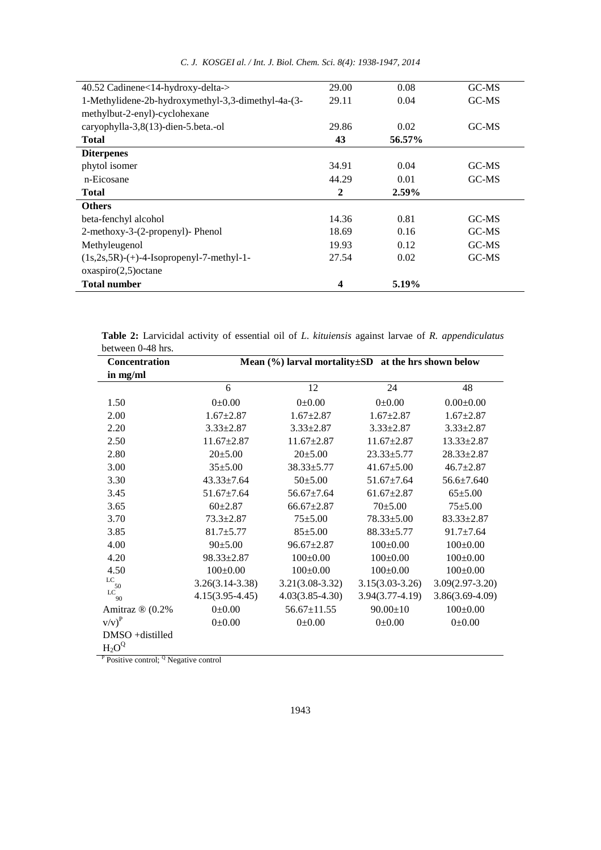| 40.52 Cadinene<14-hydroxy-delta->                  | 29.00        | 0.08   | GC-MS               |
|----------------------------------------------------|--------------|--------|---------------------|
| 1-Methylidene-2b-hydroxymethyl-3,3-dimethyl-4a-(3- | 29.11        | 0.04   | $G$ <i>C</i> - $MS$ |
| methylbut-2-enyl)-cyclohexane                      |              |        |                     |
| caryophylla-3,8(13)-dien-5.beta.-ol                | 29.86        | 0.02   | GC-MS               |
| <b>Total</b>                                       | 43           | 56.57% |                     |
| <b>Diterpenes</b>                                  |              |        |                     |
| phytol isomer                                      | 34.91        | 0.04   | GC-MS               |
| n-Eicosane                                         | 44.29        | 0.01   | $G$ <i>C</i> - $MS$ |
| <b>Total</b>                                       | $\mathbf{2}$ | 2.59%  |                     |
| <b>Others</b>                                      |              |        |                     |
| beta-fenchyl alcohol                               | 14.36        | 0.81   | GC-MS               |
| 2-methoxy-3-(2-propenyl)- Phenol                   | 18.69        | 0.16   | GC-MS               |
| Methyleugenol                                      | 19.93        | 0.12   | $G$ <i>C</i> - $MS$ |
| $(1s, 2s, 5R)$ -(+)-4-Isopropenyl-7-methyl-1-      | 27.54        | 0.02   | $G$ <i>C</i> - $MS$ |
| oxaspiro(2,5)octane                                |              |        |                     |
|                                                    | 4            | 5.19%  |                     |
| <b>Total number</b>                                |              |        |                     |

*C. J. KOSGEI al. / Int. J. Biol. Chem. Sci. 8(4): 1938-1947, 2014* 

**Table 2:** Larvicidal activity of essential oil of *L*. *kituiensis* against larvae of *R. appendiculatus*  between 0-48 hrs.

| Concentration                                                | Mean $(\%)$ larval mortality $\pm SD$ at the hrs shown below |                     |                     |                     |
|--------------------------------------------------------------|--------------------------------------------------------------|---------------------|---------------------|---------------------|
| in mg/ml                                                     |                                                              |                     |                     |                     |
|                                                              | 6                                                            | 12                  | 24                  | 48                  |
| 1.50                                                         | $0.00 \pm 0.00$                                              | 0.0010              | $0.00 \pm 0.00$     | $0.00\pm0.00$       |
| 2.00                                                         | $1.67 \pm 2.87$                                              | $1.67 \pm 2.87$     | $1.67 \pm 2.87$     | $1.67 \pm 2.87$     |
| 2.20                                                         | $3.33 \pm 2.87$                                              | $3.33 \pm 2.87$     | $3.33 \pm 2.87$     | $3.33 \pm 2.87$     |
| 2.50                                                         | $11.67 \pm 2.87$                                             | $11.67 \pm 2.87$    | $11.67 \pm 2.87$    | $13.33 \pm 2.87$    |
| 2.80                                                         | $20 \pm 5.00$                                                | $20 \pm 5.00$       | $23.33 \pm 5.77$    | $28.33 \pm 2.87$    |
| 3.00                                                         | $35 + 5.00$                                                  | 38.33±5.77          | $41.67 \pm 5.00$    | $46.7 \pm 2.87$     |
| 3.30                                                         | $43.33 \pm 7.64$                                             | $50 \pm 5.00$       | $51.67 \pm 7.64$    | $56.6 \pm 7.640$    |
| 3.45                                                         | $51.67 \pm 7.64$                                             | $56.67 \pm 7.64$    | $61.67 \pm 2.87$    | $65 \pm 5.00$       |
| 3.65                                                         | $60+2.87$                                                    | $66.67 \pm 2.87$    | $70 + 5.00$         | $75 + 5.00$         |
| 3.70                                                         | $73.3 \pm 2.87$                                              | $75 + 5.00$         | $78.33 \pm 5.00$    | $83.33 \pm 2.87$    |
| 3.85                                                         | $81.7 \pm 5.77$                                              | $85 + 5.00$         | $88.33 \pm 5.77$    | $91.7 \pm 7.64$     |
| 4.00                                                         | 90±5.00                                                      | $96.67 \pm 2.87$    | $100 \pm 0.00$      | $100 \pm 0.00$      |
| 4.20                                                         | $98.33 \pm 2.87$                                             | $100 \pm 0.00$      | $100 \pm 0.00$      | $100 \pm 0.00$      |
| 4.50                                                         | $100 \pm 0.00$                                               | $100 \pm 0.00$      | $100 \pm 0.00$      | $100 \pm 0.00$      |
| LC<br>50                                                     | $3.26(3.14 - 3.38)$                                          | $3.21(3.08-3.32)$   | $3.15(3.03 - 3.26)$ | $3.09(2.97 - 3.20)$ |
| LC<br>90                                                     | $4.15(3.95 - 4.45)$                                          | $4.03(3.85 - 4.30)$ | $3.94(3.77-4.19)$   | $3.86(3.69 - 4.09)$ |
| Amitraz ® (0.2%                                              | $0.00 \pm 0.00$                                              | $56.67 \pm 11.55$   | $90.00 \pm 10$      | $100 \pm 0.00$      |
| $v/v)^P$                                                     | $0.00{\pm}0.00$                                              | 0.000               | 0.0010              | $0.00 \pm 0.00$     |
| $DMSO + distilled$                                           |                                                              |                     |                     |                     |
| $H_2O^Q$                                                     |                                                              |                     |                     |                     |
| <sup>P</sup> Positive control; <sup>Q</sup> Negative control |                                                              |                     |                     |                     |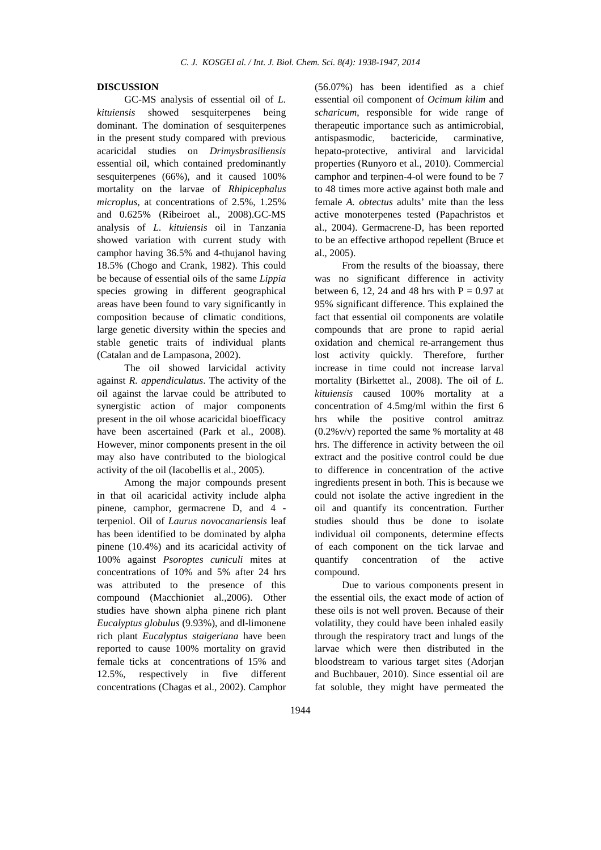#### **DISCUSSION**

GC-MS analysis of essential oil of *L. kituiensis* showed sesquiterpenes being dominant. The domination of sesquiterpenes in the present study compared with previous acaricidal studies on *Drimysbrasiliensis* essential oil, which contained predominantly sesquiterpenes (66%), and it caused 100% mortality on the larvae of *Rhipicephalus microplus*, at concentrations of 2.5%, 1.25% and 0.625% (Ribeiroet al., 2008).GC-MS analysis of *L. kituiensis* oil in Tanzania showed variation with current study with camphor having 36.5% and 4-thujanol having 18.5% (Chogo and Crank, 1982). This could be because of essential oils of the same *Lippia* species growing in different geographical areas have been found to vary significantly in composition because of climatic conditions, large genetic diversity within the species and stable genetic traits of individual plants (Catalan and de Lampasona, 2002).

The oil showed larvicidal activity against *R. appendiculatus*. The activity of the oil against the larvae could be attributed to synergistic action of major components present in the oil whose acaricidal bioefficacy have been ascertained (Park et al., 2008). However, minor components present in the oil may also have contributed to the biological activity of the oil (Iacobellis et al., 2005).

Among the major compounds present in that oil acaricidal activity include alpha pinene, camphor, germacrene D, and 4 terpeniol. Oil of *Laurus novocanariensis* leaf has been identified to be dominated by alpha pinene (10.4%) and its acaricidal activity of 100% against *Psoroptes cuniculi* mites at concentrations of 10% and 5% after 24 hrs was attributed to the presence of this compound (Macchioniet al.,2006). Other studies have shown alpha pinene rich plant *Eucalyptus globulus* (9.93%), and dl-limonene rich plant *Eucalyptus staigeriana* have been reported to cause 100% mortality on gravid female ticks at concentrations of 15% and 12.5%, respectively in five different concentrations (Chagas et al., 2002). Camphor

(56.07%) has been identified as a chief essential oil component of *Ocimum kilim* and *scharicum*, responsible for wide range of therapeutic importance such as antimicrobial, antispasmodic, bactericide, carminative, hepato-protective, antiviral and larvicidal properties (Runyoro et al., 2010). Commercial camphor and terpinen-4-ol were found to be 7 to 48 times more active against both male and female *A. obtectus* adults' mite than the less active monoterpenes tested (Papachristos et al., 2004). Germacrene-D, has been reported to be an effective arthopod repellent (Bruce et al., 2005).

From the results of the bioassay, there was no significant difference in activity between 6, 12, 24 and 48 hrs with  $P = 0.97$  at 95% significant difference. This explained the fact that essential oil components are volatile compounds that are prone to rapid aerial oxidation and chemical re-arrangement thus lost activity quickly. Therefore, further increase in time could not increase larval mortality (Birkettet al., 2008). The oil of *L. kituiensis* caused 100% mortality at a concentration of 4.5mg/ml within the first 6 hrs while the positive control amitraz  $(0.2\%$  v/v) reported the same % mortality at 48 hrs. The difference in activity between the oil extract and the positive control could be due to difference in concentration of the active ingredients present in both. This is because we could not isolate the active ingredient in the oil and quantify its concentration. Further studies should thus be done to isolate individual oil components, determine effects of each component on the tick larvae and quantify concentration of the active compound.

Due to various components present in the essential oils, the exact mode of action of these oils is not well proven. Because of their volatility, they could have been inhaled easily through the respiratory tract and lungs of the larvae which were then distributed in the bloodstream to various target sites (Adorjan and Buchbauer, 2010). Since essential oil are fat soluble, they might have permeated the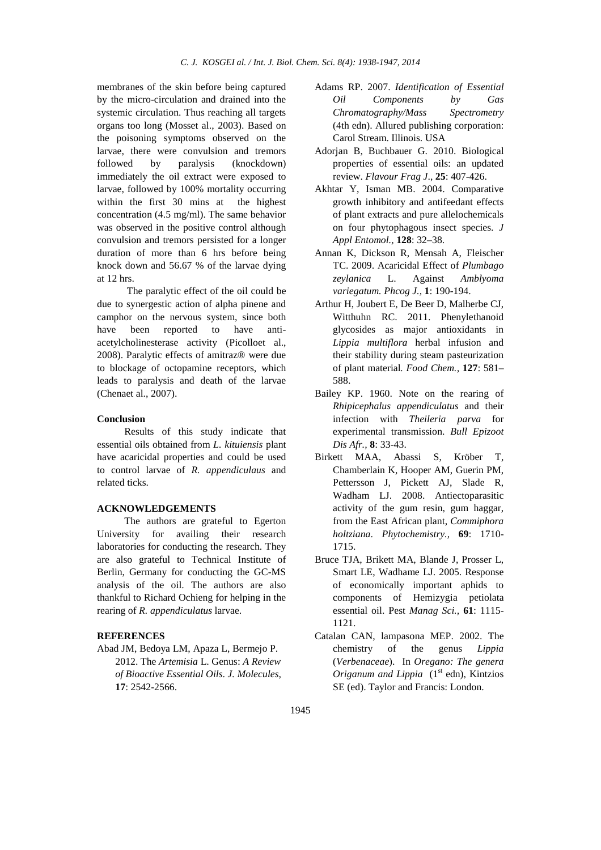membranes of the skin before being captured by the micro-circulation and drained into the systemic circulation. Thus reaching all targets organs too long (Mosset al., 2003). Based on the poisoning symptoms observed on the larvae, there were convulsion and tremors followed by paralysis (knockdown) immediately the oil extract were exposed to larvae, followed by 100% mortality occurring within the first 30 mins at the highest concentration (4.5 mg/ml). The same behavior was observed in the positive control although convulsion and tremors persisted for a longer duration of more than 6 hrs before being knock down and 56.67 % of the larvae dying at 12 hrs.

 The paralytic effect of the oil could be due to synergestic action of alpha pinene and camphor on the nervous system, since both have been reported to have antiacetylcholinesterase activity (Picolloet al., 2008). Paralytic effects of amitraz® were due to blockage of octopamine receptors, which leads to paralysis and death of the larvae (Chenaet al., 2007).

#### **Conclusion**

Results of this study indicate that essential oils obtained from *L. kituiensis* plant have acaricidal properties and could be used to control larvae of *R. appendiculaus* and related ticks.

# **ACKNOWLEDGEMENTS**

The authors are grateful to Egerton University for availing their research laboratories for conducting the research. They are also grateful to Technical Institute of Berlin, Germany for conducting the GC-MS analysis of the oil. The authors are also thankful to Richard Ochieng for helping in the rearing of *R. appendiculatus* larvae.

## **REFERENCES**

Abad JM, Bedoya LM, Apaza L, Bermejo P. 2012. The *Artemisia* L. Genus: *A Review of Bioactive Essential Oils*. *J. Molecules,*  **17**: 2542-2566.

- Adams RP. 2007. *Identification of Essential Oil Components by Gas Chromatography/Mass Spectrometry* (4th edn). Allured publishing corporation: Carol Stream. Illinois. USA
- Adorjan B, Buchbauer G. 2010. Biological properties of essential oils: an updated review. *Flavour Frag J*., **25**: 407-426.
- Akhtar Y, Isman MB. 2004. Comparative growth inhibitory and antifeedant effects of plant extracts and pure allelochemicals on four phytophagous insect species. *J Appl Entomol.,* **128**: 32–38.
- Annan K, Dickson R, Mensah A, Fleischer TC. 2009. Acaricidal Effect of *Plumbago zeylanica* L. Against *Amblyoma variegatum. Phcog J.,* **1**: 190-194.
- Arthur H, Joubert E, De Beer D, Malherbe CJ, Witthuhn RC. 2011. Phenylethanoid glycosides as major antioxidants in *Lippia multiflora* herbal infusion and their stability during steam pasteurization of plant material*. Food Chem.,* **127**: 581– 588.
- Bailey KP. 1960. Note on the rearing of *Rhipicephalus appendiculatus* and their infection with *Theileria parva* for experimental transmission. *Bull Epizoot Dis Afr.,* **8**: 33-43.
- Birkett MAA, Abassi S, Kröber T, Chamberlain K, Hooper AM, Guerin PM, Pettersson J, Pickett AJ, Slade R, Wadham LJ. 2008. Antiectoparasitic activity of the gum resin, gum haggar, from the East African plant, *Commiphora holtziana*. *Phytochemistry.,* **69**: 1710- 1715.
- Bruce TJA, Brikett MA, Blande J, Prosser L, Smart LE, Wadhame LJ. 2005. Response of economically important aphids to components of Hemizygia petiolata essential oil. Pest *Manag Sci.,* **61**: 1115- 1121.
- Catalan CAN, lampasona MEP. 2002. The chemistry of the genus *Lippia*  (*Verbenaceae*). In *Oregano: The genera Origanum and Lippia*  $(1<sup>st</sup> edn)$ , Kintzios SE (ed). Taylor and Francis: London.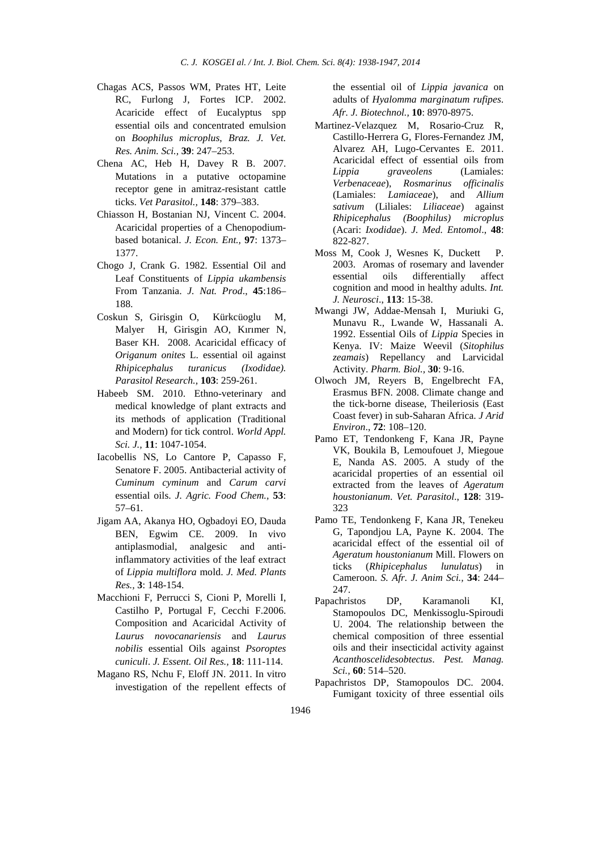- Chagas ACS, Passos WM, Prates HT, Leite RC, Furlong J, Fortes ICP. 2002. Acaricide effect of Eucalyptus spp essential oils and concentrated emulsion on *Boophilus microplus*, *Braz. J. Vet. Res. Anim. Sci.,* **39**: 247–253.
- Chena AC, Heb H, Davey R B. 2007. Mutations in a putative octopamine receptor gene in amitraz-resistant cattle ticks. *Vet Parasitol.,* **148**: 379–383.
- Chiasson H, Bostanian NJ, Vincent C. 2004. Acaricidal properties of a Chenopodiumbased botanical. *J. Econ. Ent.,* **97**: 1373– 1377.
- Chogo J, Crank G. 1982. Essential Oil and Leaf Constituents of *Lippia ukambensis* From Tanzania. *J. Nat. Prod*., **45**:186– 188.
- Coskun S, Girisgin O, Kürkcüoglu M, Malyer H, Girisgin AO, Kırımer N, Baser KH. 2008. Acaricidal efficacy of *Origanum onites* L. essential oil against *Rhipicephalus turanicus (Ixodidae). Parasitol Research.,* **103**: 259-261.
- Habeeb SM. 2010. Ethno-veterinary and medical knowledge of plant extracts and its methods of application (Traditional and Modern) for tick control. *World Appl. Sci. J.,* **11**: 1047-1054.
- Iacobellis NS, Lo Cantore P, Capasso F, Senatore F. 2005. Antibacterial activity of *Cuminum cyminum* and *Carum carvi* essential oils. *J. Agric. Food Chem.,* **53**: 57–61.
- Jigam AA, Akanya HO, Ogbadoyi EO, Dauda BEN, Egwim CE. 2009. In vivo antiplasmodial, analgesic and antiinflammatory activities of the leaf extract of *Lippia multiflora* mold. *J. Med. Plants Res.,* **3**: 148-154.
- Macchioni F, Perrucci S, Cioni P, Morelli I, Castilho P, Portugal F, Cecchi F.2006. Composition and Acaricidal Activity of *Laurus novocanariensis* and *Laurus nobilis* essential Oils against *Psoroptes cuniculi*. *J. Essent. Oil Res.,* **18**: 111-114.
- Magano RS, Nchu F, Eloff JN. 2011. In vitro investigation of the repellent effects of

the essential oil of *Lippia javanica* on adults of *Hyalomma marginatum rufipes*. *Afr. J. Biotechnol.,* **10**: 8970-8975.

- Martinez-Velazquez M, Rosario-Cruz R, Castillo-Herrera G, Flores-Fernandez JM, Alvarez AH, Lugo-Cervantes E. 2011. Acaricidal effect of essential oils from *Lippia graveolens* (Lamiales: *Verbenaceae*), *Rosmarinus officinalis* (Lamiales: *Lamiaceae*), and *Allium sativum* (Liliales: *Liliaceae*) against *Rhipicephalus (Boophilus) microplus* (Acari: *Ixodidae*). *J. Med. Entomol*., **48**: 822-827.
- Moss M, Cook J, Wesnes K, Duckett P. 2003. Aromas of rosemary and lavender essential oils differentially affect cognition and mood in healthy adults. *Int. J. Neurosci*., **113**: 15-38.
- Mwangi JW, Addae-Mensah I, Muriuki G, Munavu R., Lwande W, Hassanali A. 1992. Essential Oils of *Lippia* Species in Kenya. IV: Maize Weevil (*Sitophilus zeamais*) Repellancy and Larvicidal Activity. *Pharm. Biol.,* **30**: 9-16.
- Olwoch JM, Reyers B, Engelbrecht FA, Erasmus BFN. 2008. Climate change and the tick-borne disease, Theileriosis (East Coast fever) in sub-Saharan Africa. *J Arid Environ*., **72**: 108–120.
- Pamo ET, Tendonkeng F, Kana JR, Payne VK, Boukila B, Lemoufouet J, Miegoue E, Nanda AS. 2005. A study of the acaricidal properties of an essential oil extracted from the leaves of *Ageratum houstonianum*. *Vet. Parasitol*., **128**: 319- 323
- Pamo TE, Tendonkeng F, Kana JR, Tenekeu G, Tapondjou LA, Payne K. 2004. The acaricidal effect of the essential oil of *Ageratum houstonianum* Mill. Flowers on ticks (*Rhipicephalus lunulatus*) in Cameroon. *S. Afr. J. Anim Sci.,* **34**: 244– 247.
- Papachristos DP, Karamanoli KI, Stamopoulos DC, Menkissoglu-Spiroudi U. 2004. The relationship between the chemical composition of three essential oils and their insecticidal activity against *Acanthoscelidesobtectus*. *Pest. Manag. Sci.,* **60**: 514–520.
- Papachristos DP, Stamopoulos DC. 2004. Fumigant toxicity of three essential oils